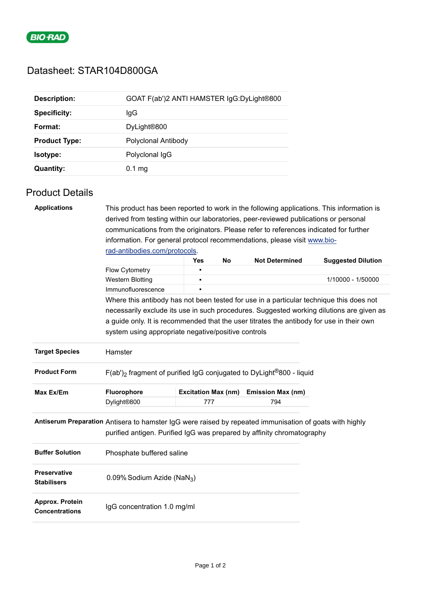

## Datasheet: STAR104D800GA

| <b>Description:</b>  | GOAT F(ab')2 ANTI HAMSTER IgG:DyLight®800 |
|----------------------|-------------------------------------------|
| <b>Specificity:</b>  | lgG                                       |
| Format:              | DyLight <sup>®800</sup>                   |
| <b>Product Type:</b> | Polyclonal Antibody                       |
| Isotype:             | Polyclonal IgG                            |
| <b>Quantity:</b>     | $0.1 \text{ mg}$                          |

## Product Details

| <b>Applications</b>                       | This product has been reported to work in the following applications. This information is                                                                                         |                            |    |                          |                           |  |  |  |
|-------------------------------------------|-----------------------------------------------------------------------------------------------------------------------------------------------------------------------------------|----------------------------|----|--------------------------|---------------------------|--|--|--|
|                                           | derived from testing within our laboratories, peer-reviewed publications or personal                                                                                              |                            |    |                          |                           |  |  |  |
|                                           | communications from the originators. Please refer to references indicated for further                                                                                             |                            |    |                          |                           |  |  |  |
|                                           | information. For general protocol recommendations, please visit www.bio-                                                                                                          |                            |    |                          |                           |  |  |  |
|                                           | rad-antibodies.com/protocols.                                                                                                                                                     |                            |    |                          |                           |  |  |  |
|                                           |                                                                                                                                                                                   | <b>Yes</b>                 | No | <b>Not Determined</b>    | <b>Suggested Dilution</b> |  |  |  |
|                                           | Flow Cytometry                                                                                                                                                                    |                            |    |                          |                           |  |  |  |
|                                           | <b>Western Blotting</b>                                                                                                                                                           |                            |    |                          | 1/10000 - 1/50000         |  |  |  |
|                                           | Immunofluorescence                                                                                                                                                                |                            |    |                          |                           |  |  |  |
|                                           | Where this antibody has not been tested for use in a particular technique this does not                                                                                           |                            |    |                          |                           |  |  |  |
|                                           | necessarily exclude its use in such procedures. Suggested working dilutions are given as                                                                                          |                            |    |                          |                           |  |  |  |
|                                           | a guide only. It is recommended that the user titrates the antibody for use in their own                                                                                          |                            |    |                          |                           |  |  |  |
|                                           | system using appropriate negative/positive controls                                                                                                                               |                            |    |                          |                           |  |  |  |
| <b>Target Species</b>                     | Hamster                                                                                                                                                                           |                            |    |                          |                           |  |  |  |
| <b>Product Form</b>                       | $F(ab')$ fragment of purified IgG conjugated to DyLight <sup>®</sup> 800 - liquid                                                                                                 |                            |    |                          |                           |  |  |  |
| Max Ex/Em                                 | Fluorophore                                                                                                                                                                       | <b>Excitation Max (nm)</b> |    | <b>Emission Max (nm)</b> |                           |  |  |  |
|                                           | Dylight®800                                                                                                                                                                       | 777                        |    | 794                      |                           |  |  |  |
|                                           | Antiserum Preparation Antisera to hamster IgG were raised by repeated immunisation of goats with highly<br>purified antigen. Purified IgG was prepared by affinity chromatography |                            |    |                          |                           |  |  |  |
| <b>Buffer Solution</b>                    | Phosphate buffered saline                                                                                                                                                         |                            |    |                          |                           |  |  |  |
| <b>Preservative</b><br><b>Stabilisers</b> | 0.09% Sodium Azide (NaN <sub>3</sub> )                                                                                                                                            |                            |    |                          |                           |  |  |  |
| Approx. Protein<br><b>Concentrations</b>  | IgG concentration 1.0 mg/ml                                                                                                                                                       |                            |    |                          |                           |  |  |  |